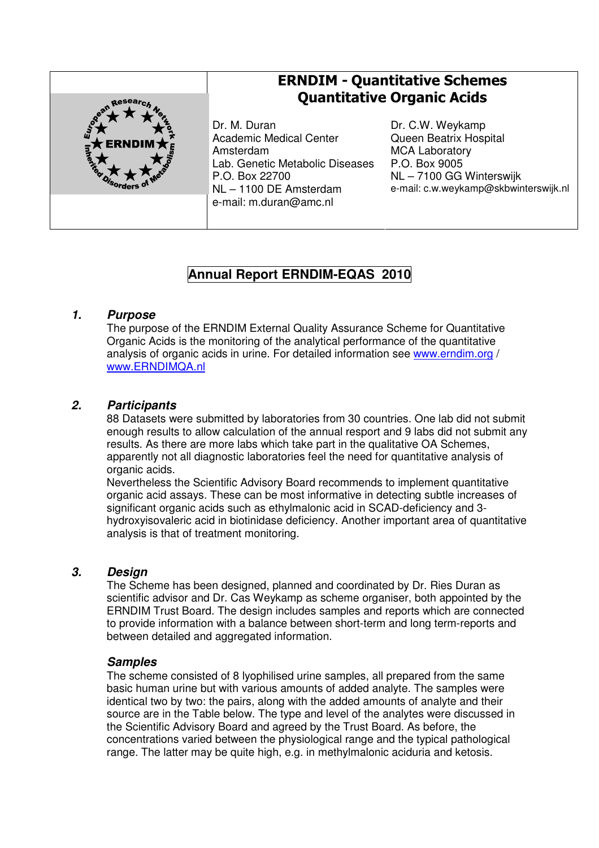

# ERNDIM - Quantitative Schemes Quantitative Organic Acids

Dr. M. Duran Academic Medical Center Amsterdam Lab. Genetic Metabolic Diseases P.O. Box 22700 NL – 1100 DE Amsterdam e-mail: m.duran@amc.nl

Dr. C.W. Weykamp Queen Beatrix Hospital MCA Laboratory P.O. Box 9005 NL – 7100 GG Winterswijk e-mail: c.w.weykamp@skbwinterswijk.nl

# **Annual Report ERNDIM-EQAS 2010**

## **1. Purpose**

The purpose of the ERNDIM External Quality Assurance Scheme for Quantitative Organic Acids is the monitoring of the analytical performance of the quantitative analysis of organic acids in urine. For detailed information see www.erndim.org / www.ERNDIMQA.nl

# **2. Participants**

88 Datasets were submitted by laboratories from 30 countries. One lab did not submit enough results to allow calculation of the annual resport and 9 labs did not submit any results. As there are more labs which take part in the qualitative OA Schemes, apparently not all diagnostic laboratories feel the need for quantitative analysis of organic acids.

Nevertheless the Scientific Advisory Board recommends to implement quantitative organic acid assays. These can be most informative in detecting subtle increases of significant organic acids such as ethylmalonic acid in SCAD-deficiency and 3 hydroxyisovaleric acid in biotinidase deficiency. Another important area of quantitative analysis is that of treatment monitoring.

# **3. Design**

The Scheme has been designed, planned and coordinated by Dr. Ries Duran as scientific advisor and Dr. Cas Weykamp as scheme organiser, both appointed by the ERNDIM Trust Board. The design includes samples and reports which are connected to provide information with a balance between short-term and long term-reports and between detailed and aggregated information.

#### **Samples**

The scheme consisted of 8 lyophilised urine samples, all prepared from the same basic human urine but with various amounts of added analyte. The samples were identical two by two: the pairs, along with the added amounts of analyte and their source are in the Table below. The type and level of the analytes were discussed in the Scientific Advisory Board and agreed by the Trust Board. As before, the concentrations varied between the physiological range and the typical pathological range. The latter may be quite high, e.g. in methylmalonic aciduria and ketosis.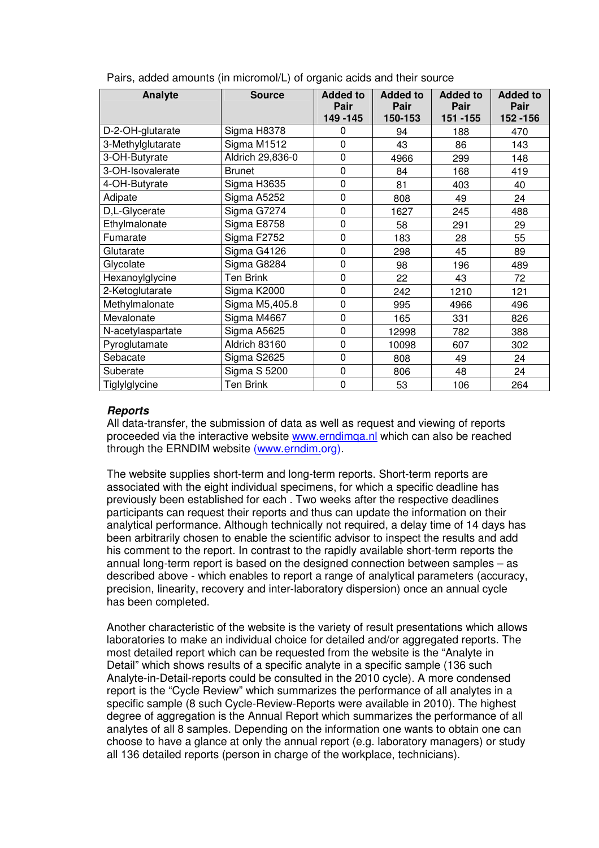| Analyte           | <b>Source</b>       | <b>Added to</b><br>Pair<br>149 - 145 | <b>Added to</b><br>Pair<br>150-153 | <b>Added to</b><br>Pair<br>151 - 155 | <b>Added to</b><br>Pair<br>152 - 156 |
|-------------------|---------------------|--------------------------------------|------------------------------------|--------------------------------------|--------------------------------------|
| D-2-OH-glutarate  | Sigma H8378         | 0                                    | 94                                 | 188                                  | 470                                  |
| 3-Methylglutarate | Sigma M1512         | $\mathbf 0$                          | 43                                 | 86                                   | 143                                  |
| 3-OH-Butyrate     | Aldrich 29,836-0    | $\mathbf 0$                          | 4966                               | 299                                  | 148                                  |
| 3-OH-Isovalerate  | <b>Brunet</b>       | $\mathbf 0$                          | 84                                 | 168                                  | 419                                  |
| 4-OH-Butyrate     | Sigma H3635         | $\mathbf 0$                          | 81                                 | 403                                  | 40                                   |
| Adipate           | Sigma A5252         | $\mathbf 0$                          | 808                                | 49                                   | 24                                   |
| D,L-Glycerate     | Sigma G7274         | $\mathbf 0$                          | 1627                               | 245                                  | 488                                  |
| Ethylmalonate     | Sigma E8758         | $\mathbf 0$                          | 58                                 | 291                                  | 29                                   |
| Fumarate          | Sigma F2752         | 0                                    | 183                                | 28                                   | 55                                   |
| Glutarate         | Sigma G4126         | $\mathbf 0$                          | 298                                | 45                                   | 89                                   |
| Glycolate         | Sigma G8284         | $\mathbf 0$                          | 98                                 | 196                                  | 489                                  |
| Hexanoylglycine   | <b>Ten Brink</b>    | $\mathbf{0}$                         | 22                                 | 43                                   | 72                                   |
| 2-Ketoglutarate   | Sigma K2000         | $\mathbf 0$                          | 242                                | 1210                                 | 121                                  |
| Methylmalonate    | Sigma M5,405.8      | $\mathbf 0$                          | 995                                | 4966                                 | 496                                  |
| Mevalonate        | Sigma M4667         | $\mathbf{0}$                         | 165                                | 331                                  | 826                                  |
| N-acetylaspartate | Sigma A5625         | $\mathbf 0$                          | 12998                              | 782                                  | 388                                  |
| Pyroglutamate     | Aldrich 83160       | $\mathbf 0$                          | 10098                              | 607                                  | 302                                  |
| Sebacate          | Sigma S2625         | $\mathbf 0$                          | 808                                | 49                                   | 24                                   |
| Suberate          | <b>Sigma S 5200</b> | 0                                    | 806                                | 48                                   | 24                                   |
| Tiglylglycine     | <b>Ten Brink</b>    | 0                                    | 53                                 | 106                                  | 264                                  |

Pairs, added amounts (in micromol/L) of organic acids and their source

#### **Reports**

All data-transfer, the submission of data as well as request and viewing of reports proceeded via the interactive website www.erndimqa.nl which can also be reached through the ERNDIM website (www.erndim.org).

The website supplies short-term and long-term reports. Short-term reports are associated with the eight individual specimens, for which a specific deadline has previously been established for each . Two weeks after the respective deadlines participants can request their reports and thus can update the information on their analytical performance. Although technically not required, a delay time of 14 days has been arbitrarily chosen to enable the scientific advisor to inspect the results and add his comment to the report. In contrast to the rapidly available short-term reports the annual long-term report is based on the designed connection between samples – as described above - which enables to report a range of analytical parameters (accuracy, precision, linearity, recovery and inter-laboratory dispersion) once an annual cycle has been completed.

Another characteristic of the website is the variety of result presentations which allows laboratories to make an individual choice for detailed and/or aggregated reports. The most detailed report which can be requested from the website is the "Analyte in Detail" which shows results of a specific analyte in a specific sample (136 such Analyte-in-Detail-reports could be consulted in the 2010 cycle). A more condensed report is the "Cycle Review" which summarizes the performance of all analytes in a specific sample (8 such Cycle-Review-Reports were available in 2010). The highest degree of aggregation is the Annual Report which summarizes the performance of all analytes of all 8 samples. Depending on the information one wants to obtain one can choose to have a glance at only the annual report (e.g. laboratory managers) or study all 136 detailed reports (person in charge of the workplace, technicians).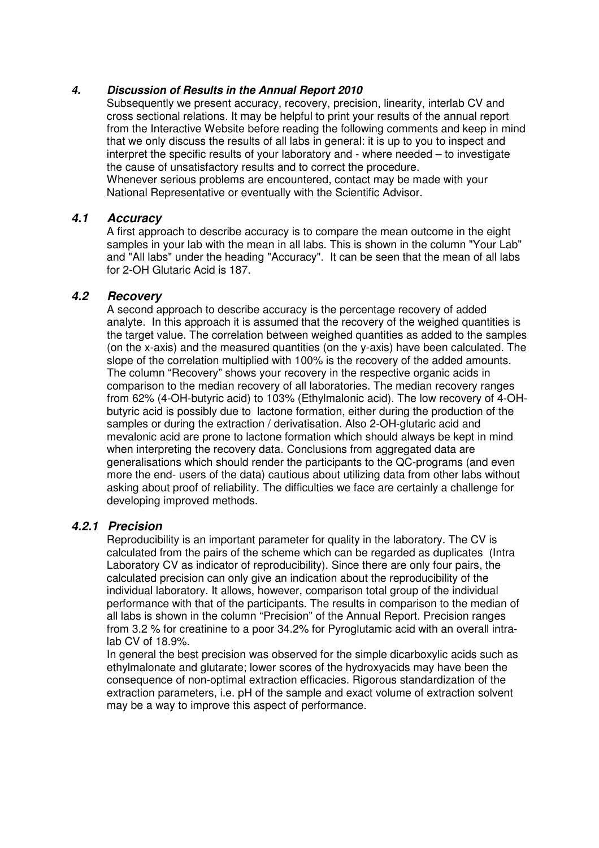#### **4. Discussion of Results in the Annual Report 2010**

Subsequently we present accuracy, recovery, precision, linearity, interlab CV and cross sectional relations. It may be helpful to print your results of the annual report from the Interactive Website before reading the following comments and keep in mind that we only discuss the results of all labs in general: it is up to you to inspect and interpret the specific results of your laboratory and - where needed – to investigate the cause of unsatisfactory results and to correct the procedure. Whenever serious problems are encountered, contact may be made with your National Representative or eventually with the Scientific Advisor.

#### **4.1 Accuracy**

A first approach to describe accuracy is to compare the mean outcome in the eight samples in your lab with the mean in all labs. This is shown in the column "Your Lab" and "All labs" under the heading "Accuracy". It can be seen that the mean of all labs for 2-OH Glutaric Acid is 187.

#### **4.2 Recovery**

A second approach to describe accuracy is the percentage recovery of added analyte. In this approach it is assumed that the recovery of the weighed quantities is the target value. The correlation between weighed quantities as added to the samples (on the x-axis) and the measured quantities (on the y-axis) have been calculated. The slope of the correlation multiplied with 100% is the recovery of the added amounts. The column "Recovery" shows your recovery in the respective organic acids in comparison to the median recovery of all laboratories. The median recovery ranges from 62% (4-OH-butyric acid) to 103% (Ethylmalonic acid). The low recovery of 4-OHbutyric acid is possibly due to lactone formation, either during the production of the samples or during the extraction / derivatisation. Also 2-OH-glutaric acid and mevalonic acid are prone to lactone formation which should always be kept in mind when interpreting the recovery data. Conclusions from aggregated data are generalisations which should render the participants to the QC-programs (and even more the end- users of the data) cautious about utilizing data from other labs without asking about proof of reliability. The difficulties we face are certainly a challenge for developing improved methods.

#### **4.2.1 Precision**

Reproducibility is an important parameter for quality in the laboratory. The CV is calculated from the pairs of the scheme which can be regarded as duplicates (Intra Laboratory CV as indicator of reproducibility). Since there are only four pairs, the calculated precision can only give an indication about the reproducibility of the individual laboratory. It allows, however, comparison total group of the individual performance with that of the participants. The results in comparison to the median of all labs is shown in the column "Precision" of the Annual Report. Precision ranges from 3.2 % for creatinine to a poor 34.2% for Pyroglutamic acid with an overall intralab CV of 18.9%.

In general the best precision was observed for the simple dicarboxylic acids such as ethylmalonate and glutarate; lower scores of the hydroxyacids may have been the consequence of non-optimal extraction efficacies. Rigorous standardization of the extraction parameters, i.e. pH of the sample and exact volume of extraction solvent may be a way to improve this aspect of performance.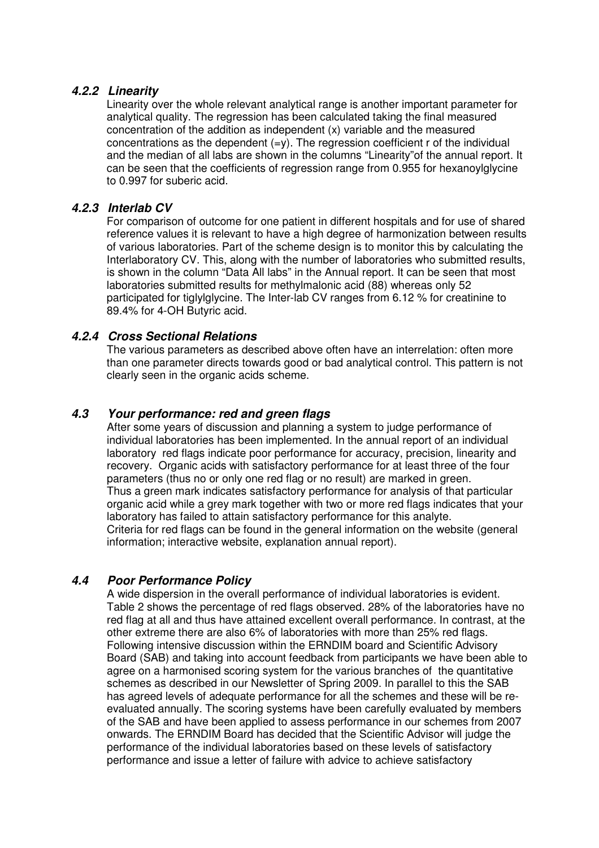#### **4.2.2 Linearity**

Linearity over the whole relevant analytical range is another important parameter for analytical quality. The regression has been calculated taking the final measured concentration of the addition as independent (x) variable and the measured concentrations as the dependent  $(=y)$ . The regression coefficient r of the individual and the median of all labs are shown in the columns "Linearity"of the annual report. It can be seen that the coefficients of regression range from 0.955 for hexanoylglycine to 0.997 for suberic acid.

## **4.2.3 Interlab CV**

For comparison of outcome for one patient in different hospitals and for use of shared reference values it is relevant to have a high degree of harmonization between results of various laboratories. Part of the scheme design is to monitor this by calculating the Interlaboratory CV. This, along with the number of laboratories who submitted results, is shown in the column "Data All labs" in the Annual report. It can be seen that most laboratories submitted results for methylmalonic acid (88) whereas only 52 participated for tiglylglycine. The Inter-lab CV ranges from 6.12 % for creatinine to 89.4% for 4-OH Butyric acid.

#### **4.2.4 Cross Sectional Relations**

The various parameters as described above often have an interrelation: often more than one parameter directs towards good or bad analytical control. This pattern is not clearly seen in the organic acids scheme.

## **4.3 Your performance: red and green flags**

After some years of discussion and planning a system to judge performance of individual laboratories has been implemented. In the annual report of an individual laboratory red flags indicate poor performance for accuracy, precision, linearity and recovery. Organic acids with satisfactory performance for at least three of the four parameters (thus no or only one red flag or no result) are marked in green. Thus a green mark indicates satisfactory performance for analysis of that particular organic acid while a grey mark together with two or more red flags indicates that your laboratory has failed to attain satisfactory performance for this analyte. Criteria for red flags can be found in the general information on the website (general information; interactive website, explanation annual report).

#### **4.4 Poor Performance Policy**

A wide dispersion in the overall performance of individual laboratories is evident. Table 2 shows the percentage of red flags observed. 28% of the laboratories have no red flag at all and thus have attained excellent overall performance. In contrast, at the other extreme there are also 6% of laboratories with more than 25% red flags. Following intensive discussion within the ERNDIM board and Scientific Advisory Board (SAB) and taking into account feedback from participants we have been able to agree on a harmonised scoring system for the various branches of the quantitative schemes as described in our Newsletter of Spring 2009. In parallel to this the SAB has agreed levels of adequate performance for all the schemes and these will be reevaluated annually. The scoring systems have been carefully evaluated by members of the SAB and have been applied to assess performance in our schemes from 2007 onwards. The ERNDIM Board has decided that the Scientific Advisor will judge the performance of the individual laboratories based on these levels of satisfactory performance and issue a letter of failure with advice to achieve satisfactory